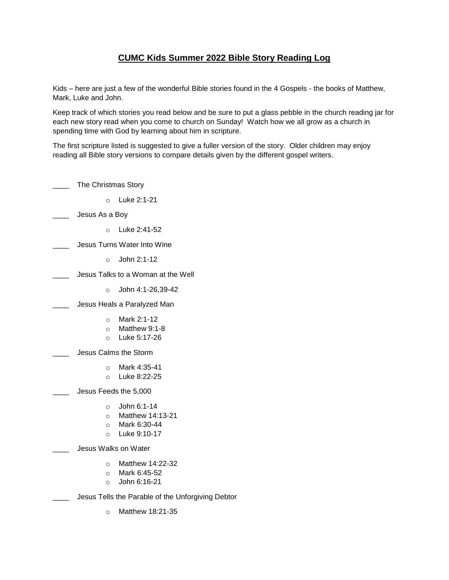## **CUMC Kids Summer 2022 Bible Story Reading Log**

Kids – here are just a few of the wonderful Bible stories found in the 4 Gospels - the books of Matthew, Mark, Luke and John.

Keep track of which stories you read below and be sure to put a glass pebble in the church reading jar for each new story read when you come to church on Sunday! Watch how we all grow as a church in spending time with God by learning about him in scripture.

The first scripture listed is suggested to give a fuller version of the story. Older children may enjoy reading all Bible story versions to compare details given by the different gospel writers.

| The Christmas Story                               |                                                                         |  |
|---------------------------------------------------|-------------------------------------------------------------------------|--|
| $\circ$                                           | Luke 2:1-21                                                             |  |
| Jesus As a Boy                                    |                                                                         |  |
| $\Omega$                                          | Luke 2:41-52                                                            |  |
| Jesus Turns Water Into Wine                       |                                                                         |  |
| $\Omega$                                          | John 2:1-12                                                             |  |
| Jesus Talks to a Woman at the Well                |                                                                         |  |
| $\circ$                                           | John 4:1-26,39-42                                                       |  |
| Jesus Heals a Paralyzed Man                       |                                                                         |  |
| $\circ$                                           | Mark 2:1-12<br>$\circ$ Matthew 9:1-8<br>O Luke 5:17-26                  |  |
| Jesus Calms the Storm                             |                                                                         |  |
| $\Omega$<br>$\circ$                               | Mark 4:35-41<br>Luke 8:22-25                                            |  |
| Jesus Feeds the 5,000                             |                                                                         |  |
| $\circ$<br>$\circ$<br>$\circ$                     | John 6:1-14<br>Matthew 14:13-21<br>Mark 6:30-44<br>$\circ$ Luke 9:10-17 |  |
| Jesus Walks on Water                              |                                                                         |  |
| $\circ$<br>$\circ$                                | Matthew 14:22-32<br>$\circ$ Mark 6:45-52<br>John 6:16-21                |  |
| Jesus Tells the Parable of the Unforgiving Debtor |                                                                         |  |
| $\circ$                                           | Matthew 18:21-35                                                        |  |